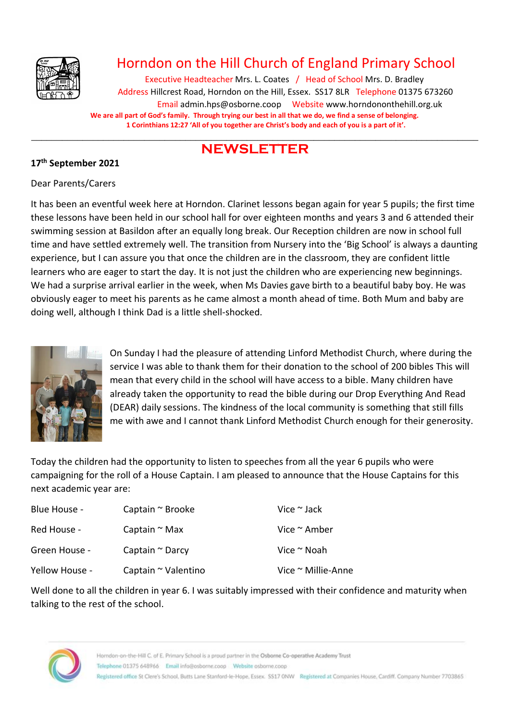

## Horndon on the Hill Church of England Primary School

Executive Headteacher Mrs. L. Coates / Head of School Mrs. D. Bradley Address Hillcrest Road, Horndon on the Hill, Essex. SS17 8LR Telephone 01375 673260 Email admin.hps@osborne.coop Websit[e www.horndononthehill.org.uk](http://www.horndononthehill.org.uk/) **We are all part of God's family. Through trying our best in all that we do, we find a sense of belonging. 1 Corinthians 12:27 'All of you together are Christ's body and each of you is a part of it'.**

#### \_\_\_\_\_\_\_\_\_\_\_\_\_\_\_\_\_\_\_\_\_\_\_\_\_\_\_\_\_\_\_\_\_\_\_\_\_\_\_\_\_\_\_\_\_\_\_\_\_\_\_\_\_\_\_\_\_\_\_\_\_\_\_\_\_\_\_\_\_\_\_\_\_\_\_\_\_\_\_\_\_\_\_\_\_\_\_ **NEWSLETTER**

#### **17 th September 2021**

#### Dear Parents/Carers

It has been an eventful week here at Horndon. Clarinet lessons began again for year 5 pupils; the first time these lessons have been held in our school hall for over eighteen months and years 3 and 6 attended their swimming session at Basildon after an equally long break. Our Reception children are now in school full time and have settled extremely well. The transition from Nursery into the 'Big School' is always a daunting experience, but I can assure you that once the children are in the classroom, they are confident little learners who are eager to start the day. It is not just the children who are experiencing new beginnings. We had a surprise arrival earlier in the week, when Ms Davies gave birth to a beautiful baby boy. He was obviously eager to meet his parents as he came almost a month ahead of time. Both Mum and baby are doing well, although I think Dad is a little shell-shocked.



On Sunday I had the pleasure of attending Linford Methodist Church, where during the service I was able to thank them for their donation to the school of 200 bibles This will mean that every child in the school will have access to a bible. Many children have already taken the opportunity to read the bible during our Drop Everything And Read (DEAR) daily sessions. The kindness of the local community is something that still fills me with awe and I cannot thank Linford Methodist Church enough for their generosity.

Today the children had the opportunity to listen to speeches from all the year 6 pupils who were campaigning for the roll of a House Captain. I am pleased to announce that the House Captains for this next academic year are:

| Blue House -   | Captain ~ Brooke    | Vice $\sim$ Jack        |
|----------------|---------------------|-------------------------|
| Red House -    | Captain $\sim$ Max  | Vice $\sim$ Amber       |
| Green House -  | Captain ~ Darcy     | Vice $\sim$ Noah        |
| Yellow House - | Captain ~ Valentino | Vice $\sim$ Millie-Anne |

Well done to all the children in year 6. I was suitably impressed with their confidence and maturity when talking to the rest of the school.

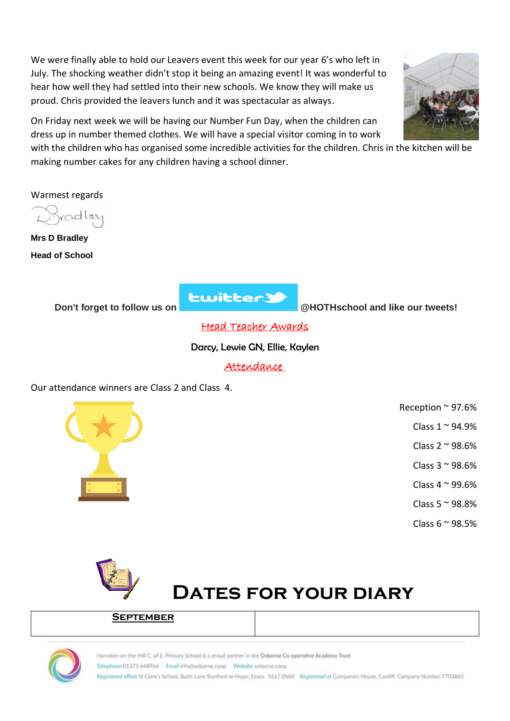We were finally able to hold our Leavers event this week for our year 6's who left in July. The shocking weather didn't stop it being an amazing event! It was wonderful to hear how well they had settled into their new schools. We know they will make us proud. Chris provided the leavers lunch and it was spectacular as always.



On Friday next week we will be having our Number Fun Day, when the children can dress up in number themed clothes. We will have a special visitor coming in to work

with the children who has organised some incredible activities for the children. Chris in the kitchen will be making number cakes for any children having a school dinner.

Warmest regards

**Mrs D Bradley Head of School**



**Don't forget to follow us on** *Don't forget to follow us on @HOTHschool* **and like our tweets!** 

Head Teacher Awards

Darcy, Lewie GN, Ellie, Kaylen

Attendance

Our attendance winners are Class 2 and Class 4.



- Reception ~ 97.6%
	- Class 1 ~ 94.9%
	- Class  $2 \approx 98.6\%$
	- Class  $3 \approx 98.6\%$
	- Class  $4 \approx 99.6\%$
	- Class  $5 \approx 98.8\%$
	- Class  $6 \approx 98.5\%$



## **Dates for your diary**

#### **September**



Horndon-on-the-Hill C. of E. Primary School is a proud partner in the Osborne Co-operative Academy Trust Telephone 01375 648966 Email info@osborne.coop Website osborne.coop Registered office St Clere's School, Butts Lane Stanford-le-Hope, Essex. SS17 ONW Registered at Companies House, Cardiff. Company Number 7703865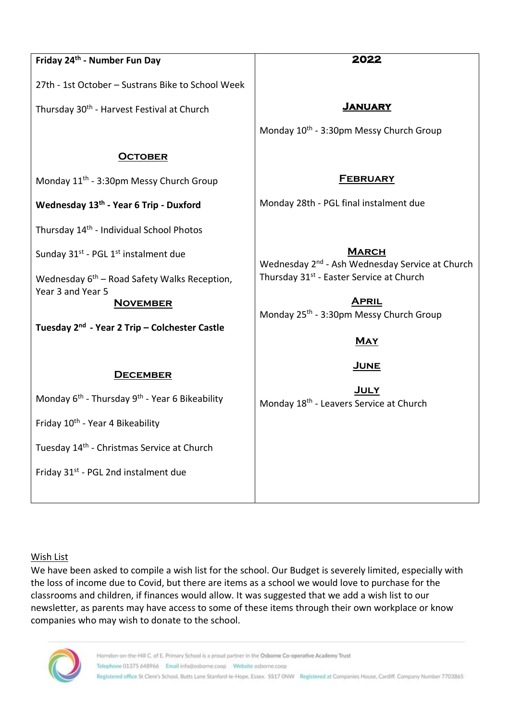| Friday 24 <sup>th</sup> - Number Fun Day                               | 2022                                                                        |  |  |
|------------------------------------------------------------------------|-----------------------------------------------------------------------------|--|--|
| 27th - 1st October - Sustrans Bike to School Week                      |                                                                             |  |  |
| Thursday 30 <sup>th</sup> - Harvest Festival at Church                 | <b>JANUARY</b>                                                              |  |  |
|                                                                        | Monday 10 <sup>th</sup> - 3:30pm Messy Church Group                         |  |  |
| <b>OCTOBER</b>                                                         |                                                                             |  |  |
| Monday 11 <sup>th</sup> - 3:30pm Messy Church Group                    | <b>FEBRUARY</b>                                                             |  |  |
| Wednesday 13 <sup>th</sup> - Year 6 Trip - Duxford                     | Monday 28th - PGL final instalment due                                      |  |  |
| Thursday 14 <sup>th</sup> - Individual School Photos                   |                                                                             |  |  |
| Sunday 31 <sup>st</sup> - PGL 1 <sup>st</sup> instalment due           | <b>MARCH</b><br>Wednesday 2 <sup>nd</sup> - Ash Wednesday Service at Church |  |  |
| Wednesday $6th$ – Road Safety Walks Reception,<br>Year 3 and Year 5    | Thursday 31 <sup>st</sup> - Easter Service at Church                        |  |  |
| <b>NOVEMBER</b>                                                        | <b>APRIL</b><br>Monday 25 <sup>th</sup> - 3:30pm Messy Church Group         |  |  |
| Tuesday 2 <sup>nd</sup> - Year 2 Trip – Colchester Castle              |                                                                             |  |  |
|                                                                        | <b>MAY</b>                                                                  |  |  |
| <b>DECEMBER</b>                                                        | <u>JUNE</u>                                                                 |  |  |
| Monday 6 <sup>th</sup> - Thursday 9 <sup>th</sup> - Year 6 Bikeability | <u>July</u><br>Monday 18 <sup>th</sup> - Leavers Service at Church          |  |  |
| Friday 10th - Year 4 Bikeability                                       |                                                                             |  |  |
|                                                                        |                                                                             |  |  |
| Tuesday 14 <sup>th</sup> - Christmas Service at Church                 |                                                                             |  |  |
| Friday 31st - PGL 2nd instalment due                                   |                                                                             |  |  |
|                                                                        |                                                                             |  |  |

#### Wish List

We have been asked to compile a wish list for the school. Our Budget is severely limited, especially with the loss of income due to Covid, but there are items as a school we would love to purchase for the classrooms and children, if finances would allow. It was suggested that we add a wish list to our newsletter, as parents may have access to some of these items through their own workplace or know companies who may wish to donate to the school.

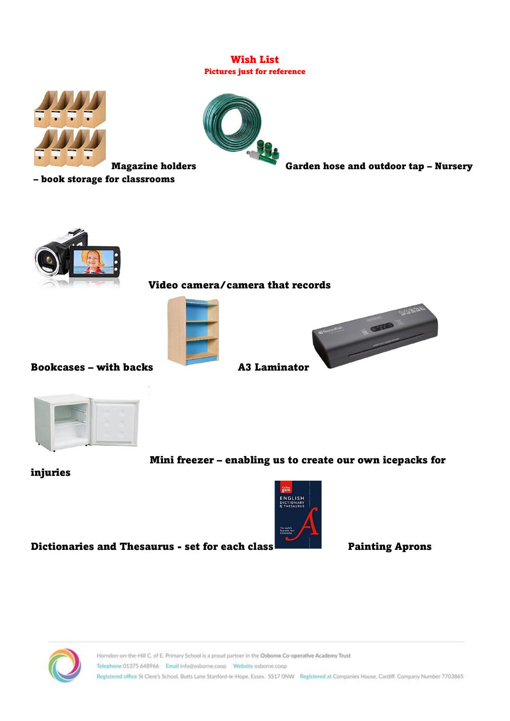#### Wish List Pictures just for reference





– book storage for classrooms

Magazine holders Garden hose and outdoor tap – Nursery



#### Video camera/camera that records





Bookcases – with backs A3 Laminator





#### Mini freezer – enabling us to create our own icepacks for

#### injuries



Dictionaries and Thesaurus - set for each class Painting Aprons



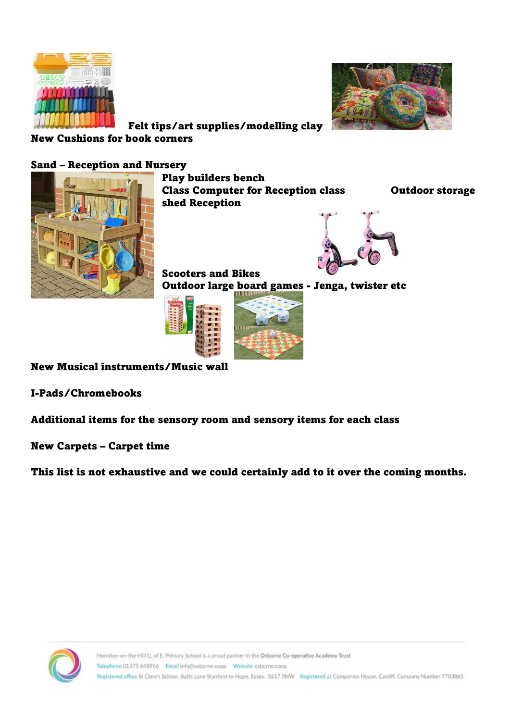



Felt tips/art supplies/modelling clay

New Cushions for book corners

#### Sand – Reception and Nursery



Play builders bench Class Computer for Reception class Outdoor storage shed Reception



Scooters and Bikes Outdoor large board games - Jenga, twister etc





New Musical instruments/Music wall

I-Pads/Chromebooks

Additional items for the sensory room and sensory items for each class

New Carpets – Carpet time

This list is not exhaustive and we could certainly add to it over the coming months.

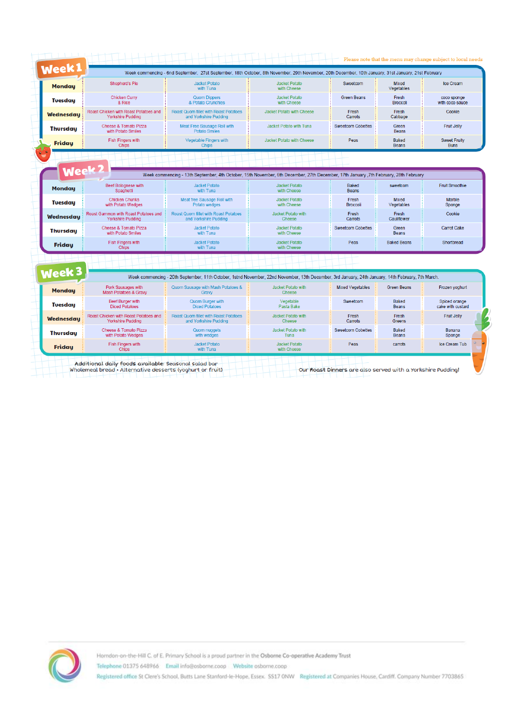| <b>Monday</b>    | <b>Shepherd's Pie</b>                                             | <b>Jacket Potato</b><br>with Tuna                                                                                                                  | <b>Jacket Potato</b><br>with Cheese | Sweetcom                  | Mixed<br>Vegetables        | <b>Ice Cream</b>                   |
|------------------|-------------------------------------------------------------------|----------------------------------------------------------------------------------------------------------------------------------------------------|-------------------------------------|---------------------------|----------------------------|------------------------------------|
| <b>Tuesday</b>   | <b>Chicken Curry</b><br>& Rice                                    | <b>Quom Dippers</b><br>& Potato Crunchies                                                                                                          | Jacket Potato<br>with Cheese        | <b>Green Beans</b>        | Fresh<br><b>Broccoli</b>   | coco sponge<br>with coco sauce     |
| <b>Wednesday</b> | Roast Chicken with Roast Potatoes and<br><b>Yorkshire Pudding</b> | Roast Quorn fillet with Roast Potatoes<br>and Yorkshire Pudding                                                                                    | <b>Jacket Potato with Cheese</b>    | Fresh<br>Carrots          | Fresh<br>Cabbage           | Cookie                             |
| <b>Thursday</b>  | Cheese & Tomato Pizza<br>with Potato Smiles                       | Meat Free Sausage Roll with<br><b>Potato Smiles</b>                                                                                                | Jacket Potato with Tuna             | <b>Sweetcorn Cobettes</b> | Green<br><b>Beans</b>      | <b>Fruit Jelly</b>                 |
| <b>Friday</b>    | <b>Fish Fingers with</b><br>Chips                                 | <b>Vegetable Fingers with</b><br><b>Chips</b>                                                                                                      | Jacket Potato with Cheese           | Peas                      | Baked<br><b>Beans</b>      | <b>Sweet Fruity</b><br><b>Buns</b> |
|                  |                                                                   |                                                                                                                                                    |                                     |                           |                            |                                    |
| Week             |                                                                   | Week commencing - 13th September, 4th October, 15th November, 6th December, 27th December, 17th January, 7th February, 28th February               |                                     |                           |                            |                                    |
| <b>Monday</b>    | <b>Beef Bolognese with</b><br>Spaghetti                           | <b>Jacket Potato</b><br>with Tuna                                                                                                                  | Jacket Potato<br>with Cheese        | Baked<br><b>Beans</b>     | sweetcom                   | <b>Fruit Smoothie</b>              |
| <b>Tuesday</b>   | <b>Chicken Chunks</b><br>with Potato Wedges                       | Meat free Sausage Roll with<br>Potato wedges                                                                                                       | <b>Jacket Potato</b><br>with Cheese | Fresh<br><b>Broccoli</b>  | <b>Mixed</b><br>Vegetables | Marble<br>Sponge                   |
| Wednesdau        | Roast Gammon with Roast Potatoes and<br><b>Yorkshire Pudding</b>  | <b>Roast Quorn fillet with Roast Potatoes</b><br>and Yorkshire Pudding                                                                             | Jacket Potato with<br><b>Cheese</b> | Fresh<br>Carrots          | Fresh<br>Cauliflower       | Cookie                             |
| <b>Thursday</b>  | Cheese & Tomato Pizza<br>with Potato Smiles                       | <b>Jacket Potato</b><br>with Tuna                                                                                                                  | Jacket Potato<br>with Cheese        | <b>Sweetcorn Cobettes</b> | Green<br><b>Beans</b>      | Carrot Cake                        |
| <b>Friday</b>    | <b>Fish Fingers with</b><br>Chips                                 | <b>Jacket Potato</b><br>with Tuna                                                                                                                  | Jacket Potato<br>with Cheese        | Peas                      | <b>Baked Beans</b>         | Shortbread                         |
|                  |                                                                   |                                                                                                                                                    |                                     |                           |                            |                                    |
| Week 3           |                                                                   | Week commencing - 20th September, 11th October, 1stnd November, 22nd November, 13th December, 3rd January, 24th January, 14th February, 7th March. |                                     |                           |                            |                                    |
| <b>Mondau</b>    | Pork Sausages with<br>Mash Potatoes & Gravy                       | Quorn Sausage with Mash Potatoes &<br>Graw                                                                                                         | Jacket Potato with<br><b>Cheese</b> | <b>Mixed Vegetables</b>   | <b>Green Beans</b>         | Frozen yoghurt                     |
| <b>Tuesday</b>   | <b>Beef Burger with</b><br><b>Diced Potatoes</b>                  | Quorn Burger with<br><b>Diced Potatoes</b>                                                                                                         | Vegetable<br>Pasta Bake             | Sweetcom                  | Baked<br><b>Beans</b>      | Spiced orange<br>cake with custard |
| <b>Wednesdau</b> | Roast Chicken with Roast Potatoes and<br><b>Yorkshire Pudding</b> | Roast Quorn fillet with Roast Potatoes<br>and Yorkshire Pudding                                                                                    | Jacket Potato with<br><b>Cheese</b> | Fresh<br>Carrots          | Fresh<br>Greens            | <b>Fruit Jelly</b>                 |
| <b>Thursday</b>  | Cheese & Tomato Pizza<br>with Potato Wedges                       | Quom nuggets<br>with wedges                                                                                                                        | Jacket Potato with<br>Tuna          | <b>Sweetcorn Cobettes</b> | Baked<br><b>Beans</b>      | <b>Banana</b><br>Sponge            |
| Friday           | Fish Fingers with<br><b>Chips</b>                                 | <b>Jacket Potato</b><br>with Tuna                                                                                                                  | <b>Jacket Potato</b><br>with Cheese | Peas                      | carrots                    | Ice Cream Tub                      |



Horndon-on-the-Hill C. of E. Primary School is a proud partner in the Osborne Co-operative Academy Trust Telephone 01375 648966 Email info@osborne.coop Website osborne.coop Registered office St Clere's School, Butts Lane Stanford-le-Hope, Essex. SS17 ONW Registered at Companies House, Cardiff. Company Number 7703865